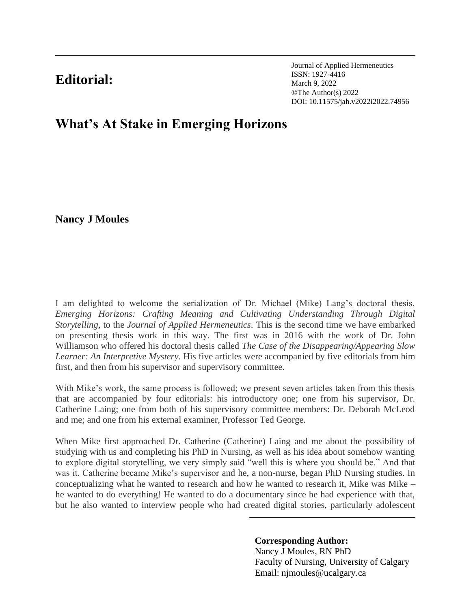## **Editorial:**

Journal of Applied Hermeneutics ISSN: 1927-4416 March 9, 2022 ©The Author(s) 2022 DOI: 10.11575/jah.v2022i2022.74956

## **What's At Stake in Emerging Horizons**

**Nancy J Moules**

I am delighted to welcome the serialization of Dr. Michael (Mike) Lang's doctoral thesis, *Emerging Horizons: Crafting Meaning and Cultivating Understanding Through Digital Storytelling,* to the *Journal of Applied Hermeneutics.* This is the second time we have embarked on presenting thesis work in this way. The first was in 2016 with the work of Dr. John Williamson who offered his doctoral thesis called *The Case of the Disappearing/Appearing Slow Learner: An Interpretive Mystery.* His five articles were accompanied by five editorials from him first, and then from his supervisor and supervisory committee.

With Mike's work, the same process is followed; we present seven articles taken from this thesis that are accompanied by four editorials: his introductory one; one from his supervisor, Dr. Catherine Laing; one from both of his supervisory committee members: Dr. Deborah McLeod and me; and one from his external examiner, Professor Ted George.

When Mike first approached Dr. Catherine (Catherine) Laing and me about the possibility of studying with us and completing his PhD in Nursing, as well as his idea about somehow wanting to explore digital storytelling, we very simply said "well this is where you should be." And that was it. Catherine became Mike's supervisor and he, a non-nurse, began PhD Nursing studies. In conceptualizing what he wanted to research and how he wanted to research it, Mike was Mike – he wanted to do everything! He wanted to do a documentary since he had experience with that, but he also wanted to interview people who had created digital stories, particularly adolescent

**Corresponding Author:**

Nancy J Moules, RN PhD Faculty of Nursing, University of Calgary Email: njmoules@ucalgary.ca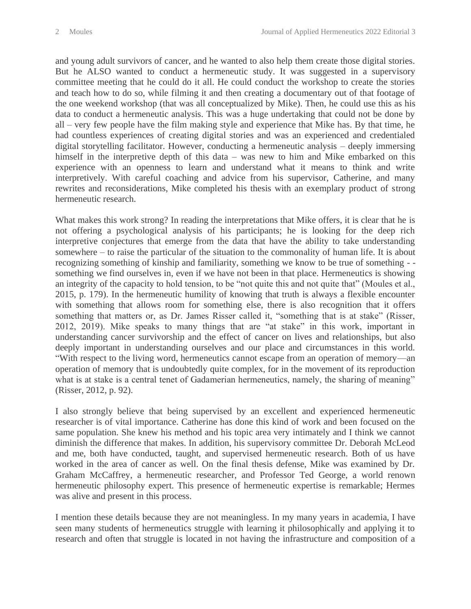and young adult survivors of cancer, and he wanted to also help them create those digital stories. But he ALSO wanted to conduct a hermeneutic study. It was suggested in a supervisory committee meeting that he could do it all. He could conduct the workshop to create the stories and teach how to do so, while filming it and then creating a documentary out of that footage of the one weekend workshop (that was all conceptualized by Mike). Then, he could use this as his data to conduct a hermeneutic analysis. This was a huge undertaking that could not be done by all – very few people have the film making style and experience that Mike has. By that time, he had countless experiences of creating digital stories and was an experienced and credentialed digital storytelling facilitator. However, conducting a hermeneutic analysis – deeply immersing himself in the interpretive depth of this data – was new to him and Mike embarked on this experience with an openness to learn and understand what it means to think and write interpretively. With careful coaching and advice from his supervisor, Catherine, and many rewrites and reconsiderations, Mike completed his thesis with an exemplary product of strong hermeneutic research.

What makes this work strong? In reading the interpretations that Mike offers, it is clear that he is not offering a psychological analysis of his participants; he is looking for the deep rich interpretive conjectures that emerge from the data that have the ability to take understanding somewhere – to raise the particular of the situation to the commonality of human life. It is about recognizing something of kinship and familiarity, something we know to be true of something -something we find ourselves in, even if we have not been in that place. Hermeneutics is showing an integrity of the capacity to hold tension, to be "not quite this and not quite that" (Moules et al., 2015, p. 179). In the hermeneutic humility of knowing that truth is always a flexible encounter with something that allows room for something else, there is also recognition that it offers something that matters or, as Dr. James Risser called it, "something that is at stake" (Risser, 2012, 2019). Mike speaks to many things that are "at stake" in this work, important in understanding cancer survivorship and the effect of cancer on lives and relationships, but also deeply important in understanding ourselves and our place and circumstances in this world. "With respect to the living word, hermeneutics cannot escape from an operation of memory—an operation of memory that is undoubtedly quite complex, for in the movement of its reproduction what is at stake is a central tenet of Gadamerian hermeneutics, namely, the sharing of meaning" (Risser, 2012, p. 92).

I also strongly believe that being supervised by an excellent and experienced hermeneutic researcher is of vital importance. Catherine has done this kind of work and been focused on the same population. She knew his method and his topic area very intimately and I think we cannot diminish the difference that makes. In addition, his supervisory committee Dr. Deborah McLeod and me, both have conducted, taught, and supervised hermeneutic research. Both of us have worked in the area of cancer as well. On the final thesis defense, Mike was examined by Dr. Graham McCaffrey, a hermeneutic researcher, and Professor Ted George, a world renown hermeneutic philosophy expert. This presence of hermeneutic expertise is remarkable; Hermes was alive and present in this process.

I mention these details because they are not meaningless. In my many years in academia, I have seen many students of hermeneutics struggle with learning it philosophically and applying it to research and often that struggle is located in not having the infrastructure and composition of a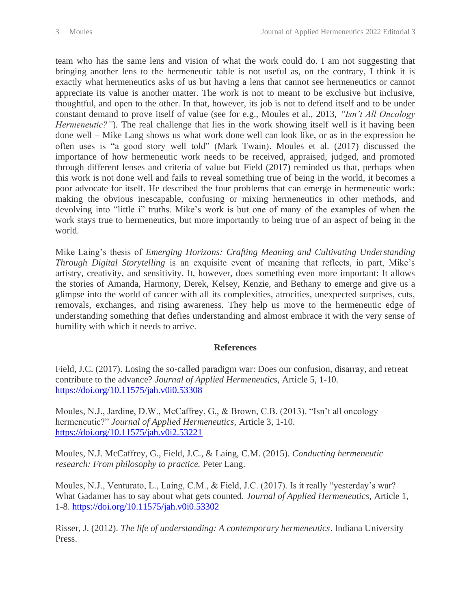team who has the same lens and vision of what the work could do. I am not suggesting that bringing another lens to the hermeneutic table is not useful as, on the contrary, I think it is exactly what hermeneutics asks of us but having a lens that cannot see hermeneutics or cannot appreciate its value is another matter. The work is not to meant to be exclusive but inclusive, thoughtful, and open to the other. In that, however, its job is not to defend itself and to be under constant demand to prove itself of value (see for e.g., Moules et al., 2013, *"Isn't All Oncology Hermeneutic?"*). The real challenge that lies in the work showing itself well is it having been done well – Mike Lang shows us what work done well can look like, or as in the expression he often uses is "a good story well told" (Mark Twain). Moules et al. (2017) discussed the importance of how hermeneutic work needs to be received, appraised, judged, and promoted through different lenses and criteria of value but Field (2017) reminded us that, perhaps when this work is not done well and fails to reveal something true of being in the world, it becomes a poor advocate for itself. He described the four problems that can emerge in hermeneutic work: making the obvious inescapable, confusing or mixing hermeneutics in other methods, and devolving into "little i" truths. Mike's work is but one of many of the examples of when the work stays true to hermeneutics, but more importantly to being true of an aspect of being in the world.

Mike Laing's thesis of *Emerging Horizons: Crafting Meaning and Cultivating Understanding Through Digital Storytelling* is an exquisite event of meaning that reflects, in part, Mike's artistry, creativity, and sensitivity. It, however, does something even more important: It allows the stories of Amanda, Harmony, Derek, Kelsey, Kenzie, and Bethany to emerge and give us a glimpse into the world of cancer with all its complexities, atrocities, unexpected surprises, cuts, removals, exchanges, and rising awareness. They help us move to the hermeneutic edge of understanding something that defies understanding and almost embrace it with the very sense of humility with which it needs to arrive.

## **References**

Field, J.C. (2017). Losing the so-called paradigm war: Does our confusion, disarray, and retreat contribute to the advance? *Journal of Applied Hermeneutics,* Article 5, 1-10. <https://doi.org/10.11575/jah.v0i0.53308>

Moules, N.J., Jardine, D.W., McCaffrey, G., & Brown, C.B. (2013). "Isn't all oncology hermeneutic?" *Journal of Applied Hermeneutics,* Article 3, 1-10. <https://doi.org/10.11575/jah.v0i2.53221>

Moules, N.J. McCaffrey, G., Field, J.C., & Laing, C.M. (2015). *Conducting hermeneutic research: From philosophy to practice.* Peter Lang.

Moules, N.J., Venturato, L., Laing, C.M., & Field, J.C. (2017). Is it really "yesterday's war? What Gadamer has to say about what gets counted. *Journal of Applied Hermeneutics,* Article 1, 1-8.<https://doi.org/10.11575/jah.v0i0.53302>

Risser, J. (2012). *The life of understanding: A contemporary hermeneutics*. Indiana University Press.